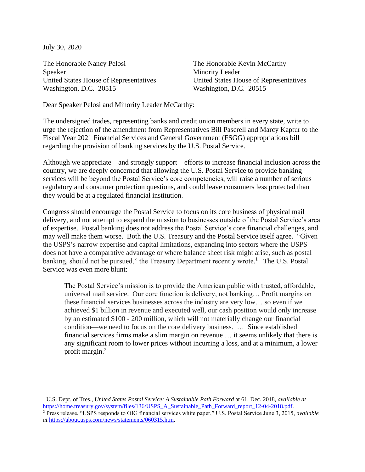July 30, 2020

The Honorable Nancy Pelosi The Honorable Kevin McCarthy Speaker Minority Leader United States House of Representatives United States House of Representatives Washington, D.C. 20515 Washington, D.C. 20515

Dear Speaker Pelosi and Minority Leader McCarthy:

The undersigned trades, representing banks and credit union members in every state, write to urge the rejection of the amendment from Representatives Bill Pascrell and Marcy Kaptur to the Fiscal Year 2021 Financial Services and General Government (FSGG) appropriations bill regarding the provision of banking services by the U.S. Postal Service.

Although we appreciate—and strongly support—efforts to increase financial inclusion across the country, we are deeply concerned that allowing the U.S. Postal Service to provide banking services will be beyond the Postal Service's core competencies, will raise a number of serious regulatory and consumer protection questions, and could leave consumers less protected than they would be at a regulated financial institution.

Congress should encourage the Postal Service to focus on its core business of physical mail delivery, and not attempt to expand the mission to businesses outside of the Postal Service's area of expertise. Postal banking does not address the Postal Service's core financial challenges, and may well make them worse. Both the U.S. Treasury and the Postal Service itself agree. "Given the USPS's narrow expertise and capital limitations, expanding into sectors where the USPS does not have a comparative advantage or where balance sheet risk might arise, such as postal banking, should not be pursued," the Treasury Department recently wrote.<sup>1</sup> The U.S. Postal Service was even more blunt:

The Postal Service's mission is to provide the American public with trusted, affordable, universal mail service. Our core function is delivery, not banking… Profit margins on these financial services businesses across the industry are very low… so even if we achieved \$1 billion in revenue and executed well, our cash position would only increase by an estimated \$100 - 200 million, which will not materially change our financial condition—we need to focus on the core delivery business. … Since established financial services firms make a slim margin on revenue … it seems unlikely that there is any significant room to lower prices without incurring a loss, and at a minimum, a lower profit margin.<sup>2</sup>

<sup>1</sup> U.S. Dept. of Tres., *United States Postal Service: A Sustainable Path Forward* at 61, Dec. 2018, *available at*  [https://home.treasury.gov/system/files/136/USPS\\_A\\_Sustainable\\_Path\\_Forward\\_report\\_12-04-2018.pdf.](https://home.treasury.gov/system/files/136/USPS_A_Sustainable_Path_Forward_report_12-04-2018.pdf)

<sup>2</sup> Press release, "USPS responds to OIG financial services white paper," U.S. Postal Service June 3, 2015, *available at* [https://about.usps.com/news/statements/060315.htm.](https://about.usps.com/news/statements/060315.htm)